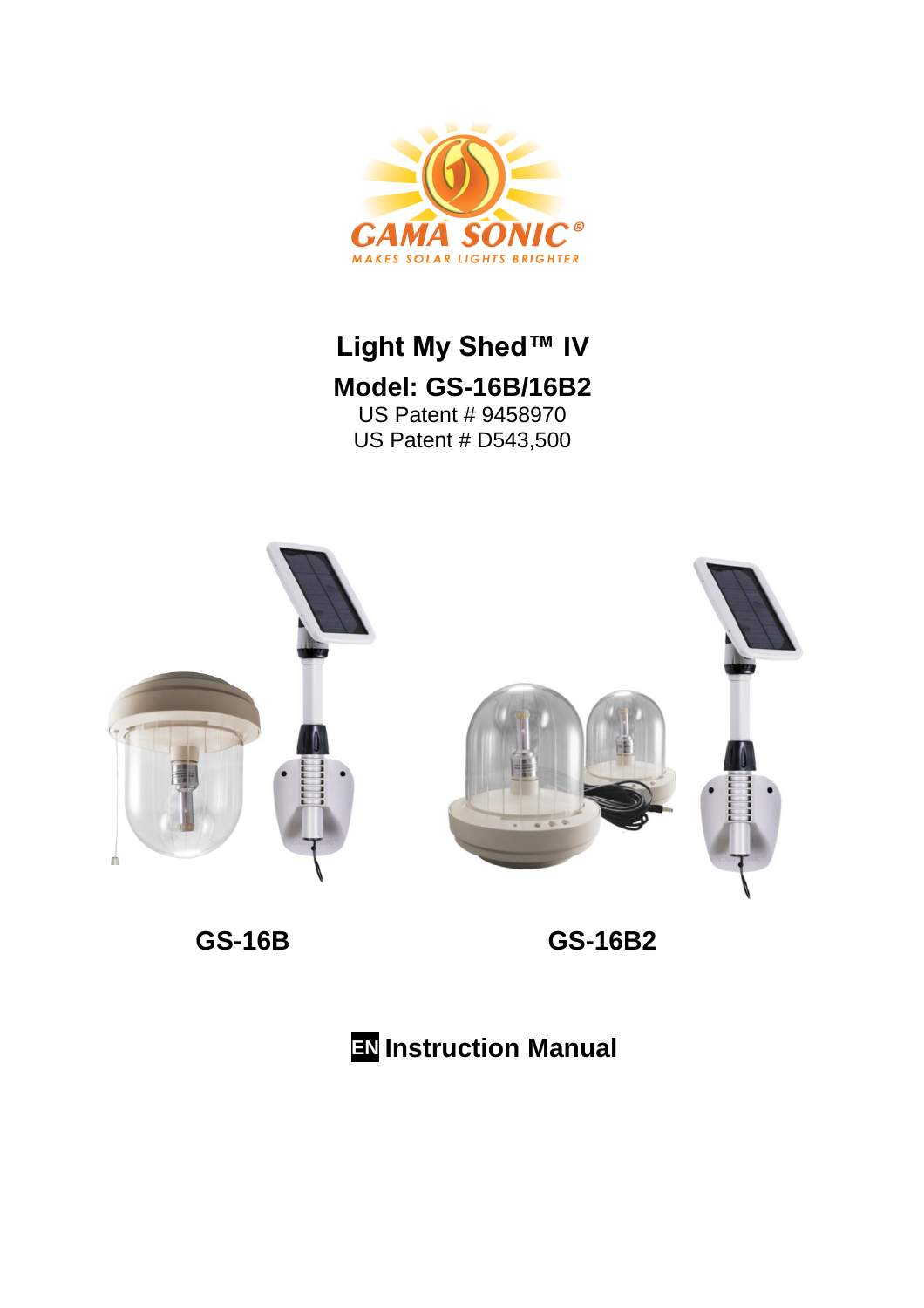

# **Light My Shed™ IV Model: GS-16B/16B2** US Patent # 9458970





 **GS-16B GS-16B2**

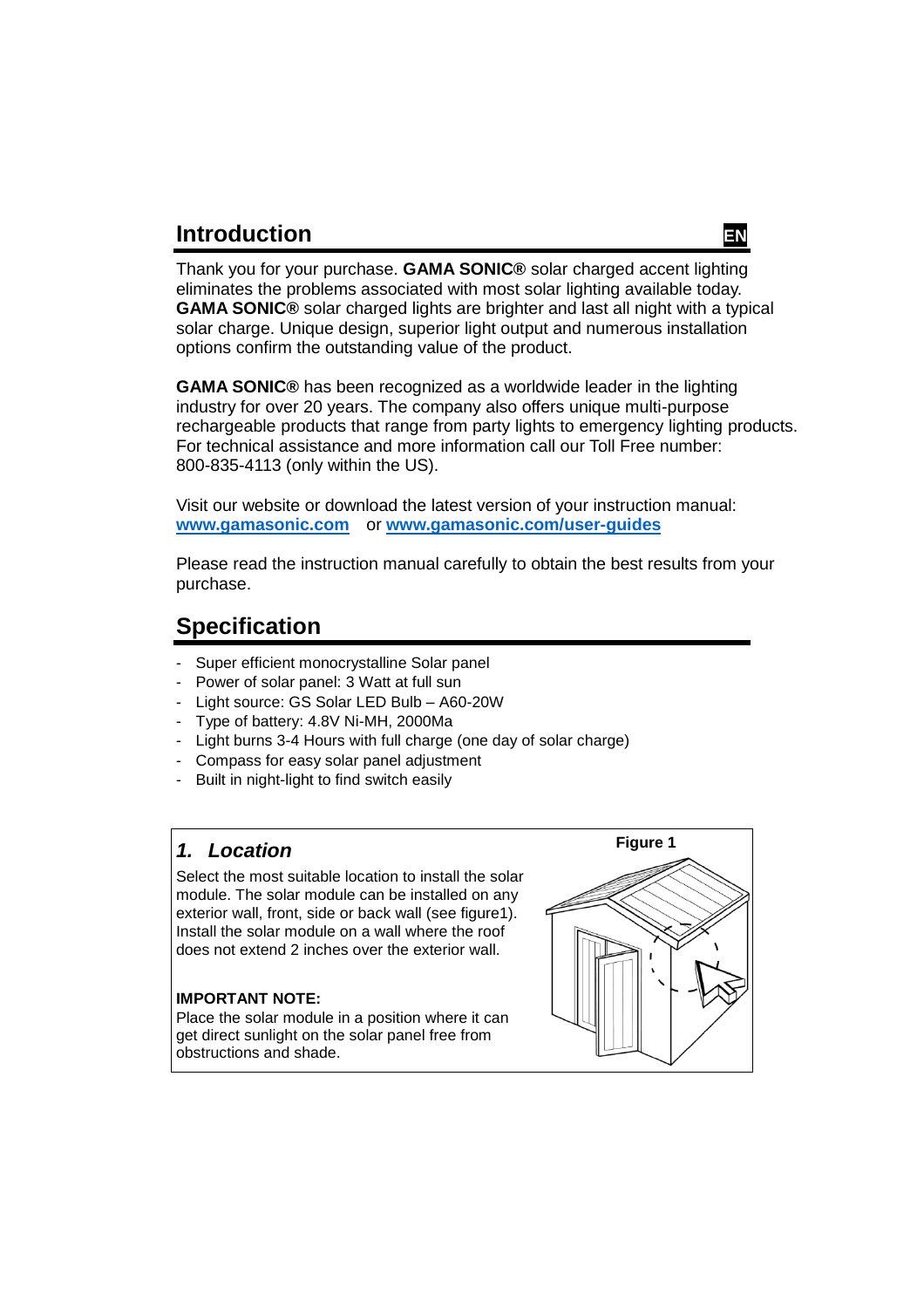## **Introduction**



Thank you for your purchase. **GAMA SONIC®** solar charged accent lighting eliminates the problems associated with most solar lighting available today. **GAMA SONIC®** solar charged lights are brighter and last all night with a typical solar charge. Unique design, superior light output and numerous installation options confirm the outstanding value of the product.

**GAMA SONIC®** has been recognized as a worldwide leader in the lighting industry for over 20 years. The company also offers unique multi-purpose rechargeable products that range from party lights to emergency lighting products. For technical assistance and more information call our Toll Free number: 800-835-4113 (only within the US).

Visit our website or download the latest version of your instruction manual: **[www.gamasonic.com](http://www.gamasonic.com/)** or **[www.gamasonic.com/user-guides](http://www.gamasonic.com/user-guides)**

Please read the instruction manual carefully to obtain the best results from your purchase.

# **Specification**

- Super efficient monocrystalline Solar panel
- Power of solar panel: 3 Watt at full sun
- Light source: GS Solar LED Bulb A60-20W
- Type of battery: 4.8V Ni-MH, 2000Ma
- Light burns 3-4 Hours with full charge (one day of solar charge)
- Compass for easy solar panel adjustment
- Built in night-light to find switch easily

#### *1. Location*

Select the most suitable location to install the solar module. The solar module can be installed on any exterior wall, front, side or back wall (see figure1). Install the solar module on a wall where the roof does not extend 2 inches over the exterior wall.

#### **IMPORTANT NOTE:**

Place the solar module in a position where it can get direct sunlight on the solar panel free from obstructions and shade.

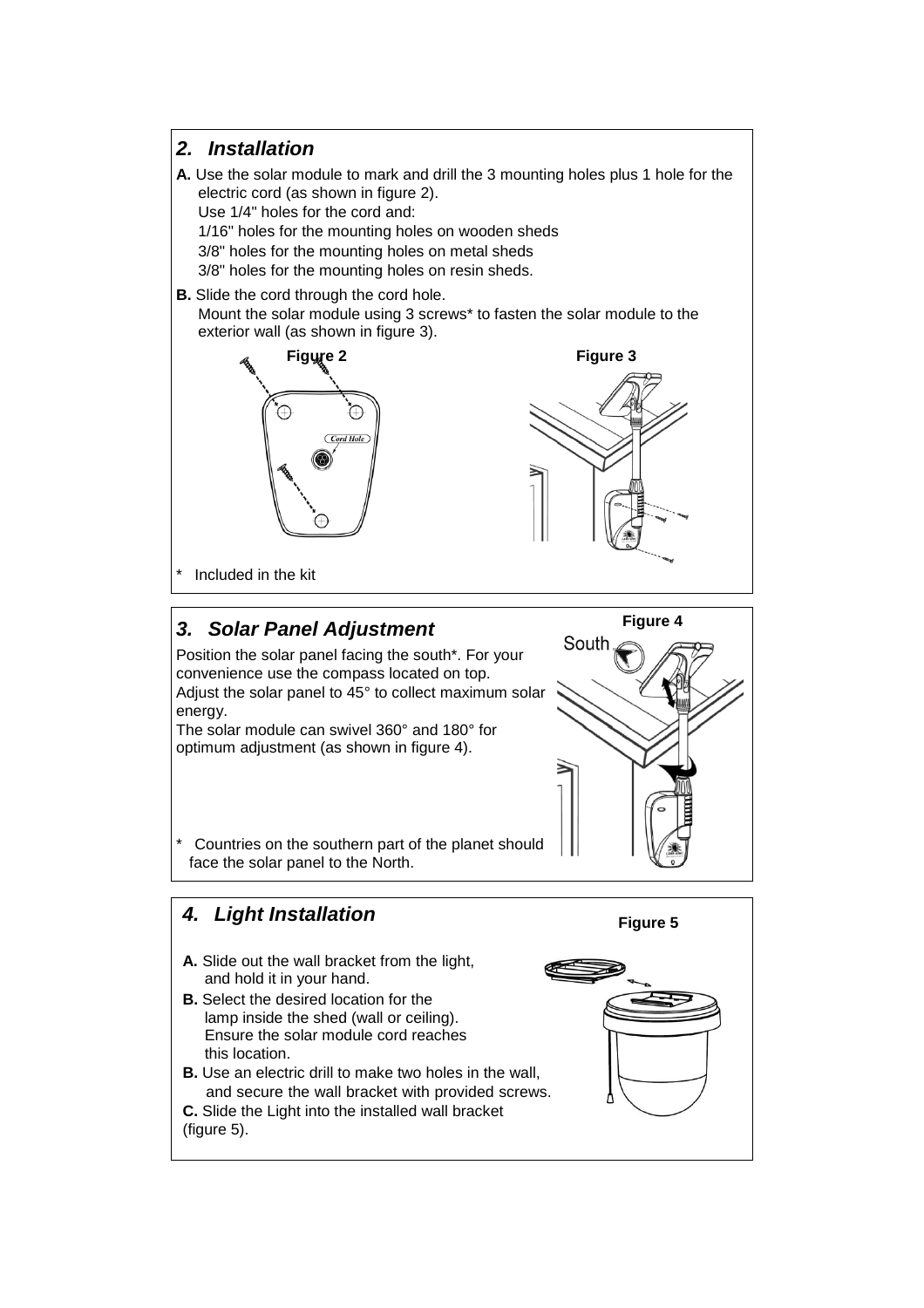#### *2. Installation*

**A.** Use the solar module to mark and drill the 3 mounting holes plus 1 hole for the electric cord (as shown in figure 2). Use 1/4" holes for the cord and:

1/16" holes for the mounting holes on wooden sheds 3/8" holes for the mounting holes on metal sheds 3/8" holes for the mounting holes on resin sheds.

**B.** Slide the cord through the cord hole. Mount the solar module using 3 screws\* to fasten the solar module to the exterior wall (as shown in figure 3).





Included in the kit

### *3. Solar Panel Adjustment*

Position the solar panel facing the south\*. For your convenience use the compass located on top. Adjust the solar panel to 45° to collect maximum solar energy.

The solar module can swivel 360° and 180° for optimum adjustment (as shown in figure 4).



Countries on the southern part of the planet should face the solar panel to the North.

# *4. Light Installation*  **A.** Slide out the wall bracket from the light, and hold it in your hand.

- **B.** Select the desired location for the lamp inside the shed (wall or ceiling). Ensure the solar module cord reaches this location.
- **B.** Use an electric drill to make two holes in the wall. and secure the wall bracket with provided screws.
- **C.** Slide the Light into the installed wall bracket (figure 5).